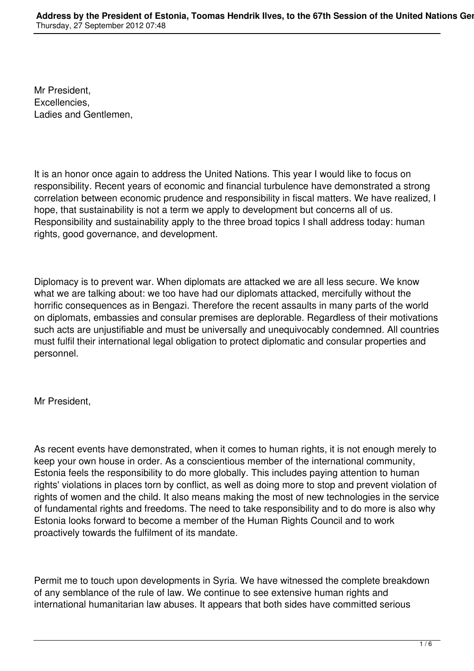Mr President, Excellencies, Ladies and Gentlemen,

It is an honor once again to address the United Nations. This year I would like to focus on responsibility. Recent years of economic and financial turbulence have demonstrated a strong correlation between economic prudence and responsibility in fiscal matters. We have realized, I hope, that sustainability is not a term we apply to development but concerns all of us. Responsibility and sustainability apply to the three broad topics I shall address today: human rights, good governance, and development.

Diplomacy is to prevent war. When diplomats are attacked we are all less secure. We know what we are talking about: we too have had our diplomats attacked, mercifully without the horrific consequences as in Bengazi. Therefore the recent assaults in many parts of the world on diplomats, embassies and consular premises are deplorable. Regardless of their motivations such acts are unjustifiable and must be universally and unequivocably condemned. All countries must fulfil their international legal obligation to protect diplomatic and consular properties and personnel.

Mr President,

As recent events have demonstrated, when it comes to human rights, it is not enough merely to keep your own house in order. As a conscientious member of the international community, Estonia feels the responsibility to do more globally. This includes paying attention to human rights' violations in places torn by conflict, as well as doing more to stop and prevent violation of rights of women and the child. It also means making the most of new technologies in the service of fundamental rights and freedoms. The need to take responsibility and to do more is also why Estonia looks forward to become a member of the Human Rights Council and to work proactively towards the fulfilment of its mandate.

Permit me to touch upon developments in Syria. We have witnessed the complete breakdown of any semblance of the rule of law. We continue to see extensive human rights and international humanitarian law abuses. It appears that both sides have committed serious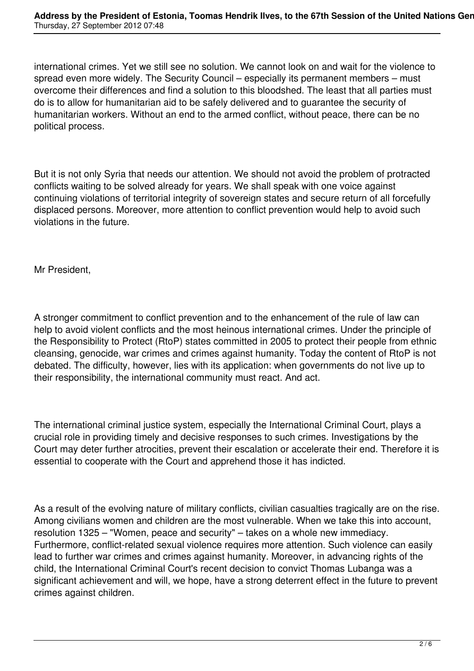international crimes. Yet we still see no solution. We cannot look on and wait for the violence to spread even more widely. The Security Council – especially its permanent members – must overcome their differences and find a solution to this bloodshed. The least that all parties must do is to allow for humanitarian aid to be safely delivered and to guarantee the security of humanitarian workers. Without an end to the armed conflict, without peace, there can be no political process.

But it is not only Syria that needs our attention. We should not avoid the problem of protracted conflicts waiting to be solved already for years. We shall speak with one voice against continuing violations of territorial integrity of sovereign states and secure return of all forcefully displaced persons. Moreover, more attention to conflict prevention would help to avoid such violations in the future.

Mr President,

A stronger commitment to conflict prevention and to the enhancement of the rule of law can help to avoid violent conflicts and the most heinous international crimes. Under the principle of the Responsibility to Protect (RtoP) states committed in 2005 to protect their people from ethnic cleansing, genocide, war crimes and crimes against humanity. Today the content of RtoP is not debated. The difficulty, however, lies with its application: when governments do not live up to their responsibility, the international community must react. And act.

The international criminal justice system, especially the International Criminal Court, plays a crucial role in providing timely and decisive responses to such crimes. Investigations by the Court may deter further atrocities, prevent their escalation or accelerate their end. Therefore it is essential to cooperate with the Court and apprehend those it has indicted.

As a result of the evolving nature of military conflicts, civilian casualties tragically are on the rise. Among civilians women and children are the most vulnerable. When we take this into account, resolution 1325 – "Women, peace and security" – takes on a whole new immediacy. Furthermore, conflict-related sexual violence requires more attention. Such violence can easily lead to further war crimes and crimes against humanity. Moreover, in advancing rights of the child, the International Criminal Court's recent decision to convict Thomas Lubanga was a significant achievement and will, we hope, have a strong deterrent effect in the future to prevent crimes against children.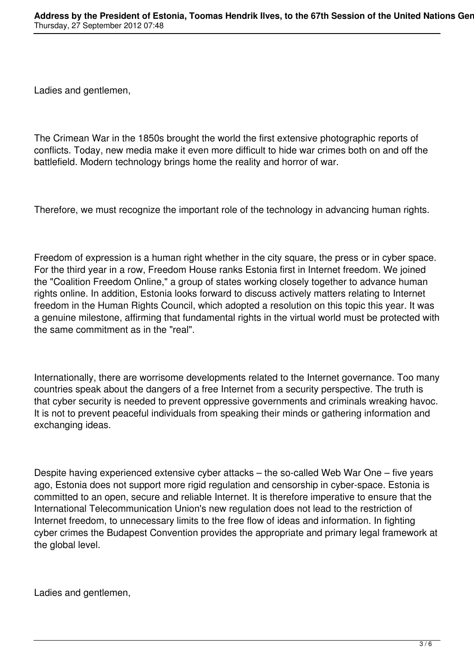Ladies and gentlemen,

The Crimean War in the 1850s brought the world the first extensive photographic reports of conflicts. Today, new media make it even more difficult to hide war crimes both on and off the battlefield. Modern technology brings home the reality and horror of war.

Therefore, we must recognize the important role of the technology in advancing human rights.

Freedom of expression is a human right whether in the city square, the press or in cyber space. For the third year in a row, Freedom House ranks Estonia first in Internet freedom. We joined the "Coalition Freedom Online," a group of states working closely together to advance human rights online. In addition, Estonia looks forward to discuss actively matters relating to Internet freedom in the Human Rights Council, which adopted a resolution on this topic this year. It was a genuine milestone, affirming that fundamental rights in the virtual world must be protected with the same commitment as in the "real".

Internationally, there are worrisome developments related to the Internet governance. Too many countries speak about the dangers of a free Internet from a security perspective. The truth is that cyber security is needed to prevent oppressive governments and criminals wreaking havoc. It is not to prevent peaceful individuals from speaking their minds or gathering information and exchanging ideas.

Despite having experienced extensive cyber attacks – the so-called Web War One – five years ago, Estonia does not support more rigid regulation and censorship in cyber-space. Estonia is committed to an open, secure and reliable Internet. It is therefore imperative to ensure that the International Telecommunication Union's new regulation does not lead to the restriction of Internet freedom, to unnecessary limits to the free flow of ideas and information. In fighting cyber crimes the Budapest Convention provides the appropriate and primary legal framework at the global level.

Ladies and gentlemen,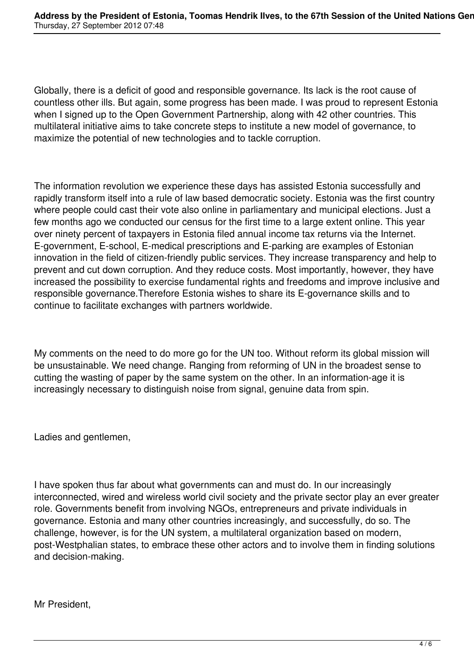Globally, there is a deficit of good and responsible governance. Its lack is the root cause of countless other ills. But again, some progress has been made. I was proud to represent Estonia when I signed up to the Open Government Partnership, along with 42 other countries. This multilateral initiative aims to take concrete steps to institute a new model of governance, to maximize the potential of new technologies and to tackle corruption.

The information revolution we experience these days has assisted Estonia successfully and rapidly transform itself into a rule of law based democratic society. Estonia was the first country where people could cast their vote also online in parliamentary and municipal elections. Just a few months ago we conducted our census for the first time to a large extent online. This year over ninety percent of taxpayers in Estonia filed annual income tax returns via the Internet. E-government, E-school, E-medical prescriptions and E-parking are examples of Estonian innovation in the field of citizen-friendly public services. They increase transparency and help to prevent and cut down corruption. And they reduce costs. Most importantly, however, they have increased the possibility to exercise fundamental rights and freedoms and improve inclusive and responsible governance.Therefore Estonia wishes to share its E-governance skills and to continue to facilitate exchanges with partners worldwide.

My comments on the need to do more go for the UN too. Without reform its global mission will be unsustainable. We need change. Ranging from reforming of UN in the broadest sense to cutting the wasting of paper by the same system on the other. In an information-age it is increasingly necessary to distinguish noise from signal, genuine data from spin.

Ladies and gentlemen,

I have spoken thus far about what governments can and must do. In our increasingly interconnected, wired and wireless world civil society and the private sector play an ever greater role. Governments benefit from involving NGOs, entrepreneurs and private individuals in governance. Estonia and many other countries increasingly, and successfully, do so. The challenge, however, is for the UN system, a multilateral organization based on modern, post-Westphalian states, to embrace these other actors and to involve them in finding solutions and decision-making.

Mr President,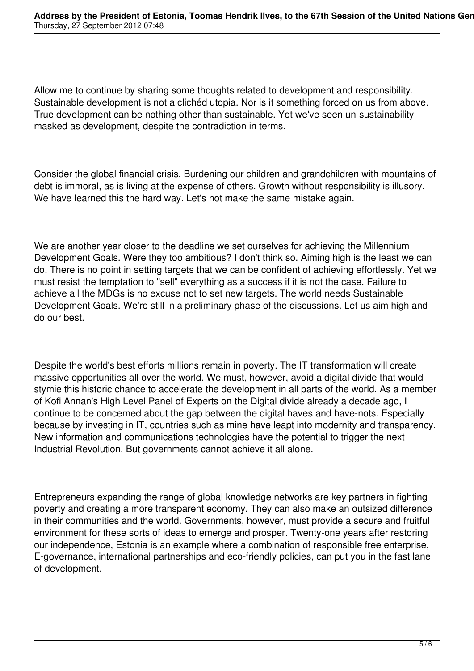Allow me to continue by sharing some thoughts related to development and responsibility. Sustainable development is not a clichéd utopia. Nor is it something forced on us from above. True development can be nothing other than sustainable. Yet we've seen un-sustainability masked as development, despite the contradiction in terms.

Consider the global financial crisis. Burdening our children and grandchildren with mountains of debt is immoral, as is living at the expense of others. Growth without responsibility is illusory. We have learned this the hard way. Let's not make the same mistake again.

We are another year closer to the deadline we set ourselves for achieving the Millennium Development Goals. Were they too ambitious? I don't think so. Aiming high is the least we can do. There is no point in setting targets that we can be confident of achieving effortlessly. Yet we must resist the temptation to "sell" everything as a success if it is not the case. Failure to achieve all the MDGs is no excuse not to set new targets. The world needs Sustainable Development Goals. We're still in a preliminary phase of the discussions. Let us aim high and do our best.

Despite the world's best efforts millions remain in poverty. The IT transformation will create massive opportunities all over the world. We must, however, avoid a digital divide that would stymie this historic chance to accelerate the development in all parts of the world. As a member of Kofi Annan's High Level Panel of Experts on the Digital divide already a decade ago, I continue to be concerned about the gap between the digital haves and have-nots. Especially because by investing in IT, countries such as mine have leapt into modernity and transparency. New information and communications technologies have the potential to trigger the next Industrial Revolution. But governments cannot achieve it all alone.

Entrepreneurs expanding the range of global knowledge networks are key partners in fighting poverty and creating a more transparent economy. They can also make an outsized difference in their communities and the world. Governments, however, must provide a secure and fruitful environment for these sorts of ideas to emerge and prosper. Twenty-one years after restoring our independence, Estonia is an example where a combination of responsible free enterprise, E-governance, international partnerships and eco-friendly policies, can put you in the fast lane of development.